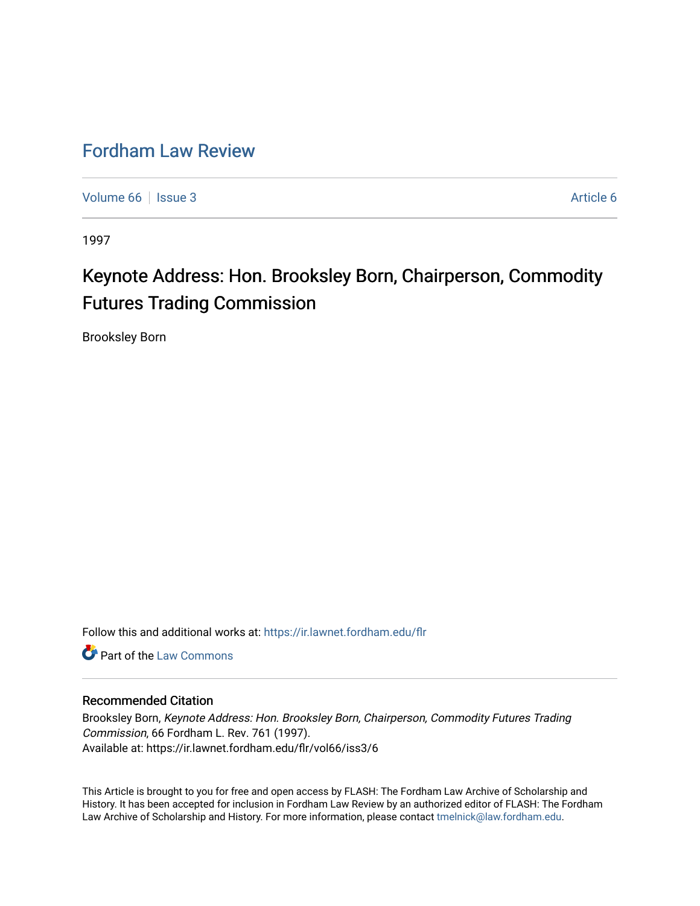## [Fordham Law Review](https://ir.lawnet.fordham.edu/flr)

[Volume 66](https://ir.lawnet.fordham.edu/flr/vol66) | [Issue 3](https://ir.lawnet.fordham.edu/flr/vol66/iss3) [Article 6](https://ir.lawnet.fordham.edu/flr/vol66/iss3/6) | Issue 3 Article 6 | Issue 3 Article 6 | Issue 3 Article 6 | Issue 3 | Issue 3 | Issue 3 | Issue 3 | Issue 3 | Issue 3 | Issue 3 | Issue 3 | Issue 3 | Issue 3 | Issue 3 | Issue 3 | Issue 3 |

1997

## Keynote Address: Hon. Brooksley Born, Chairperson, Commodity Futures Trading Commission

Brooksley Born

Follow this and additional works at: [https://ir.lawnet.fordham.edu/flr](https://ir.lawnet.fordham.edu/flr?utm_source=ir.lawnet.fordham.edu%2Fflr%2Fvol66%2Fiss3%2F6&utm_medium=PDF&utm_campaign=PDFCoverPages)

**C** Part of the [Law Commons](http://network.bepress.com/hgg/discipline/578?utm_source=ir.lawnet.fordham.edu%2Fflr%2Fvol66%2Fiss3%2F6&utm_medium=PDF&utm_campaign=PDFCoverPages)

## Recommended Citation

Brooksley Born, Keynote Address: Hon. Brooksley Born, Chairperson, Commodity Futures Trading Commission, 66 Fordham L. Rev. 761 (1997). Available at: https://ir.lawnet.fordham.edu/flr/vol66/iss3/6

This Article is brought to you for free and open access by FLASH: The Fordham Law Archive of Scholarship and History. It has been accepted for inclusion in Fordham Law Review by an authorized editor of FLASH: The Fordham Law Archive of Scholarship and History. For more information, please contact [tmelnick@law.fordham.edu](mailto:tmelnick@law.fordham.edu).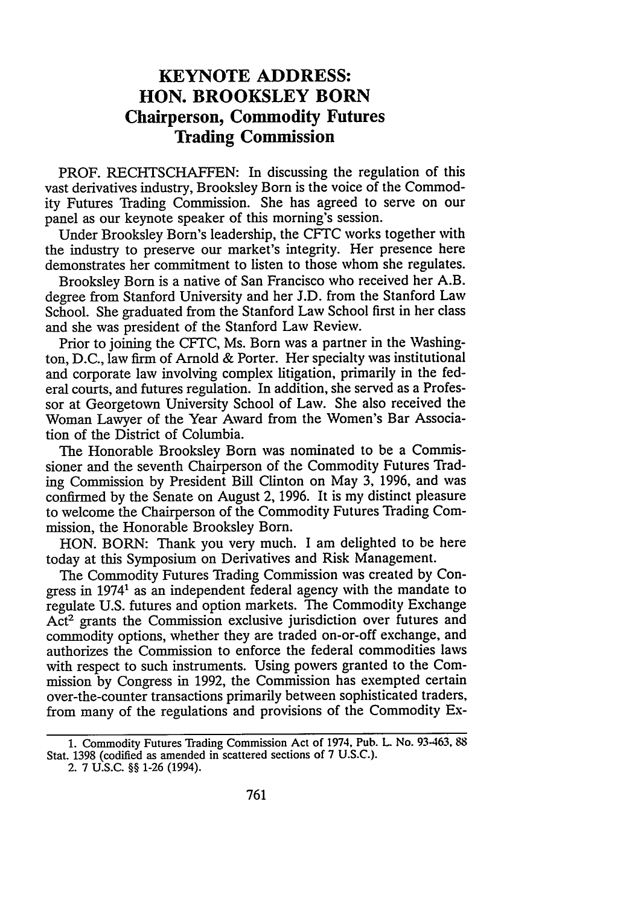## **KEYNOTE ADDRESS: HON. BROOKSLEY BORN Chairperson, Commodity Futures Trading Commission**

PROF. RECHTSCHAFFEN: In discussing the regulation of this vast derivatives industry, Brooksley Born is the voice of the Commodity Futures Trading Commission. She has agreed to serve on our panel as our keynote speaker of this morning's session.

Under Brooksley Born's leadership, the CFTC works together with the industry to preserve our market's integrity. Her presence here demonstrates her commitment to listen to those whom she regulates.

Brooksley Born is a native of San Francisco who received her A.B. degree from Stanford University and her J.D. from the Stanford Law School. She graduated from the Stanford Law School first in her class and she was president of the Stanford Law Review.

Prior to joining the CFTC, Ms. Born was a partner in the Washington, D.C., law firm of Arnold & Porter. Her specialty was institutional and corporate law involving complex litigation, primarily in the federal courts, and futures regulation. In addition, she served as a Professor at Georgetown University School of Law. She also received the Woman Lawyer of the Year Award from the Women's Bar Association of the District of Columbia.

The Honorable Brooksley Born was nominated to be a Commissioner and the seventh Chairperson of the Commodity Futures Trading Commission by President Bill Clinton on May 3, 1996, and was confirmed by the Senate on August 2, 1996. It is my distinct pleasure to welcome the Chairperson of the Commodity Futures Trading Commission, the Honorable Brooksley Born.

HON. BORN: Thank you very much. I am delighted to be here today at this Symposium on Derivatives and Risk Management.

The Commodity Futures Trading Commission was created by Congress in 19741 as an independent federal agency with the mandate to regulate U.S. futures and option markets. The Commodity Exchange Act2 grants the Commission exclusive jurisdiction over futures and commodity options, whether they are traded on-or-off exchange, and authorizes the Commission to enforce the federal commodities laws with respect to such instruments. Using powers granted to the Commission by Congress in 1992, the Commission has exempted certain over-the-counter transactions primarily between sophisticated traders, from many of the regulations and provisions of the Commodity Ex-

<sup>1.</sup> Commodity Futures Trading Commission Act of 1974, Pub. L No. 93-463, 88 Stat. 1398 (codified as amended in scattered sections of 7 U.S.C.).

<sup>2. 7</sup> U.S.C. §§ 1-26 (1994).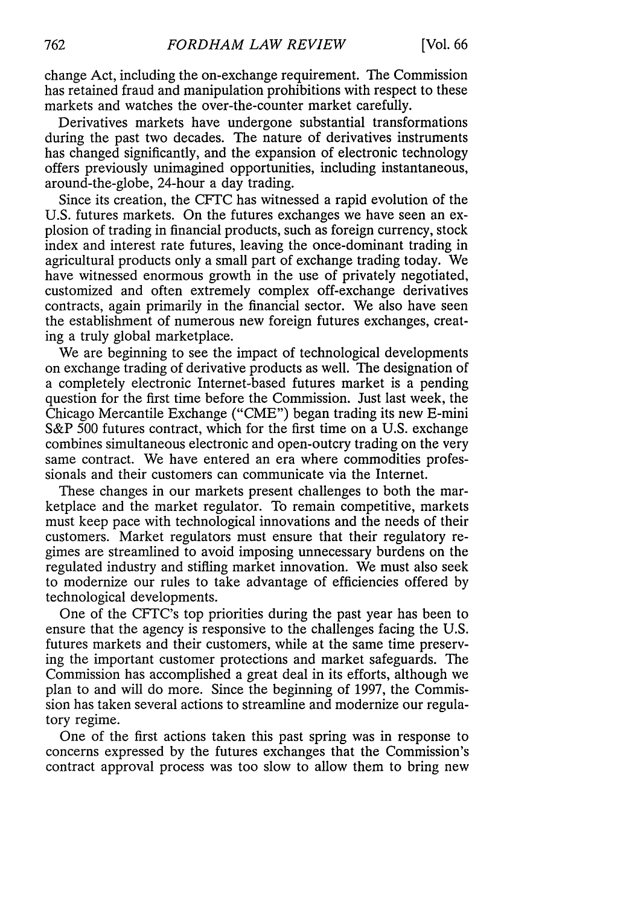change Act, including the on-exchange requirement. The Commission has retained fraud and manipulation prohibitions with respect to these markets and watches the over-the-counter market carefully.

Derivatives markets have undergone substantial transformations during the past two decades. The nature of derivatives instruments has changed significantly, and the expansion of electronic technology offers previously unimagined opportunities, including instantaneous, around-the-globe, 24-hour a day trading.

Since its creation, the CFTC has witnessed a rapid evolution of the U.S. futures markets. On the futures exchanges we have seen an explosion of trading in financial products, such as foreign currency, stock index and interest rate futures, leaving the once-dominant trading in agricultural products only a small part of exchange trading today. We have witnessed enormous growth in the use of privately negotiated, customized and often extremely complex off-exchange derivatives contracts, again primarily in the financial sector. We also have seen the establishment of numerous new foreign futures exchanges, creating a truly global marketplace.

We are beginning to see the impact of technological developments on exchange trading of derivative products as well. The designation of a completely electronic Internet-based futures market is a pending question for the first time before the Commission. Just last week, the Chicago Mercantile Exchange ("CME") began trading its new E-mini S&P 500 futures contract, which for the first time on a U.S. exchange combines simultaneous electronic and open-outcry trading on the very same contract. We have entered an era where commodities professionals and their customers can communicate via the Internet.

These changes in our markets present challenges to both the marketplace and the market regulator. To remain competitive, markets must keep pace with technological innovations and the needs of their customers. Market regulators must ensure that their regulatory regimes are streamlined to avoid imposing unnecessary burdens on the regulated industry and stifling market innovation. We must also seek to modernize our rules to take advantage of efficiencies offered by technological developments.

One of the CFTC's top priorities during the past year has been to ensure that the agency is responsive to the challenges facing the U.S. futures markets and their customers, while at the same time preserving the important customer protections and market safeguards. The Commission has accomplished a great deal in its efforts, although we plan to and will do more. Since the beginning of 1997, the Commission has taken several actions to streamline and modernize our regulatory regime.

One of the first actions taken this past spring was in response to concerns expressed by the futures exchanges that the Commission's contract approval process was too slow to allow them to bring new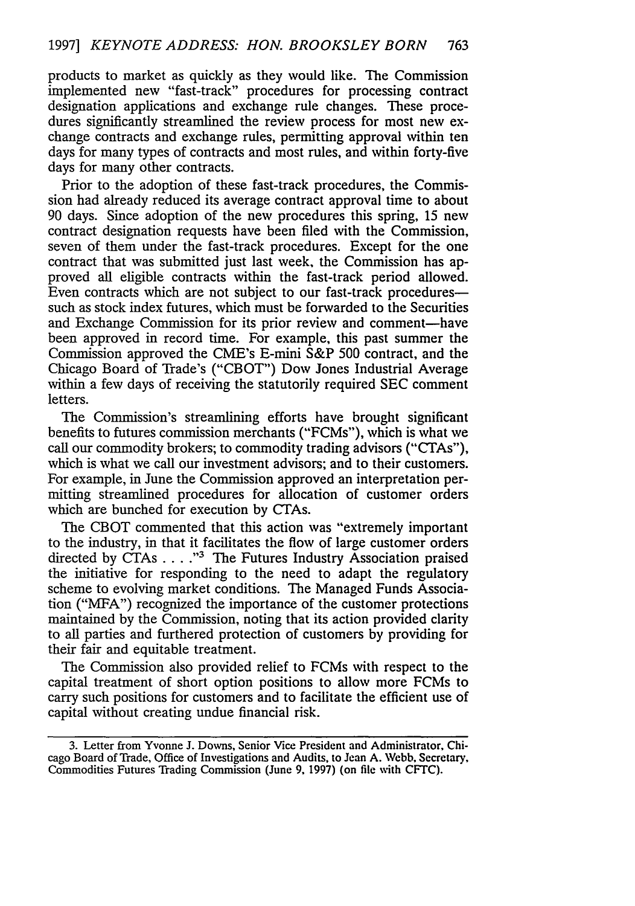products to market as quickly as they would like. The Commission implemented new "fast-track" procedures for processing contract designation applications and exchange rule changes. These procedures significantly streamlined the review process for most new exchange contracts and exchange rules, permitting approval within ten days for many types of contracts and most rules, and within forty-five days for many other contracts.

Prior to the adoption of these fast-track procedures, the Commission had already reduced its average contract approval time to about 90 days. Since adoption of the new procedures this spring, 15 new contract designation requests have been filed with the Commission, seven of them under the fast-track procedures. Except for the one contract that was submitted just last week, the Commission has approved all eligible contracts within the fast-track period allowed. Even contracts which are not subject to our fast-track proceduressuch as stock index futures, which must be forwarded to the Securities and Exchange Commission for its prior review and comment-have been approved in record time. For example, this past summer the Commission approved the CME's E-mini S&P 500 contract, and the Chicago Board of Trade's ("CBOT") Dow Jones Industrial Average within a few days of receiving the statutorily required SEC comment letters.

The Commission's streamlining efforts have brought significant benefits to futures commission merchants ("FCMs"), which is what we call our commodity brokers; to commodity trading advisors ("CTAs"), which is what we call our investment advisors; and to their customers. For example, in June the Commission approved an interpretation permitting streamlined procedures for allocation of customer orders which are bunched for execution by CTAs.

The CBOT commented that this action was "extremely important to the industry, in that it facilitates the flow of large customer orders directed by CTAs . . . . "<sup>3</sup> The Futures Industry Association praised the initiative for responding to the need to adapt the regulatory scheme to evolving market conditions. The Managed Funds Association ("MFA") recognized the importance of the customer protections maintained by the Commission, noting that its action provided clarity to all parties and furthered protection of customers by providing for their fair and equitable treatment.

The Commission also provided relief to FCMs with respect to the capital treatment of short option positions to allow more FCMs to carry such positions for customers and to facilitate the efficient use of capital without creating undue financial risk.

<sup>3.</sup> Letter from Yvonne J. Downs, Senior Vice President and Administrator, Chicago Board of Trade, Office of Investigations and Audits, to Jean A. Webb, Secretary, Commodities Futures Trading Commission (June **9,** 1997) (on file with CFTC).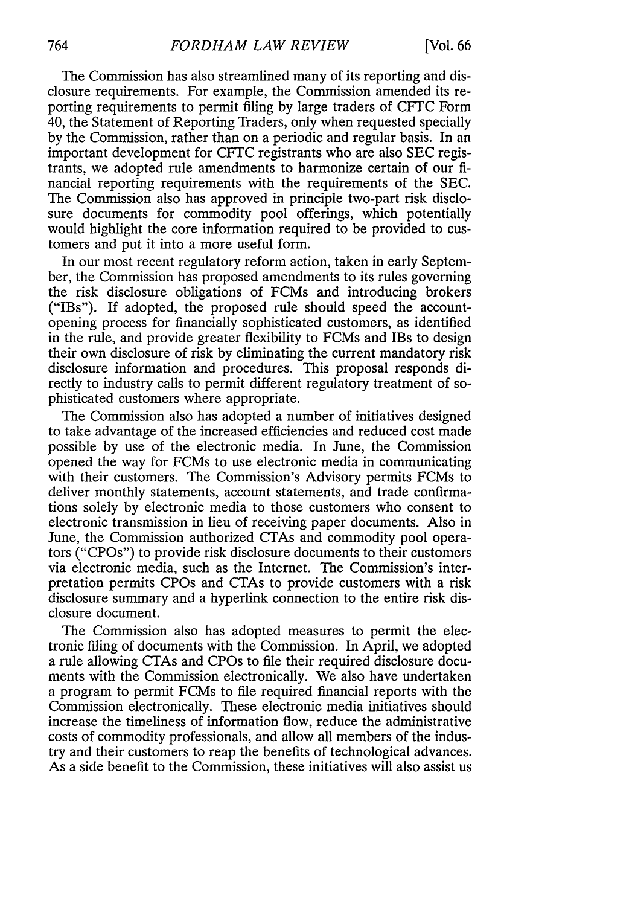The Commission has also streamlined many of its reporting and disclosure requirements. For example, the Commission amended its reporting requirements to permit filing by large traders of CFTC Form 40, the Statement of Reporting Traders, only when requested specially by the Commission, rather than on a periodic and regular basis. In an important development for CFTC registrants who are also SEC registrants, we adopted rule amendments to harmonize certain of our financial reporting requirements with the requirements of the SEC. The Commission also has approved in principle two-part risk disclosure documents for commodity pool offerings, which potentially would highlight the core information required to be provided to customers and put it into a more useful form.

In our most recent regulatory reform action, taken in early September, the Commission has proposed amendments to its rules governing the risk disclosure obligations of FCMs and introducing brokers ("IBs"). If adopted, the proposed rule should speed the accountopening process for financially sophisticated customers, as identified in the rule, and provide greater flexibility to FCMs and IBs to design their own disclosure of risk by eliminating the current mandatory risk disclosure information and procedures. This proposal responds directly to industry calls to permit different regulatory treatment of sophisticated customers where appropriate.

The Commission also has adopted a number of initiatives designed to take advantage of the increased efficiencies and reduced cost made possible by use of the electronic media. In June, the Commission opened the way for FCMs to use electronic media in communicating with their customers. The Commission's Advisory permits FCMs to deliver monthly statements, account statements, and trade confirmations solely by electronic media to those customers who consent to electronic transmission in lieu of receiving paper documents. Also in June, the Commission authorized CTAs and commodity pool operators ("CPOs") to provide risk disclosure documents to their customers via electronic media, such as the Internet. The Commission's interpretation permits CPOs and CTAs to provide customers with a risk disclosure summary and a hyperlink connection to the entire risk disclosure document.

The Commission also has adopted measures to permit the electronic filing of documents with the Commission. In April, we adopted a rule allowing CTAs and CPOs to file their required disclosure documents with the Commission electronically. We also have undertaken a program to permit FCMs to file required financial reports with the Commission electronically. These electronic media initiatives should increase the timeliness of information flow, reduce the administrative costs of commodity professionals, and allow all members of the industry and their customers to reap the benefits of technological advances. As a side benefit to the Commission, these initiatives will also assist us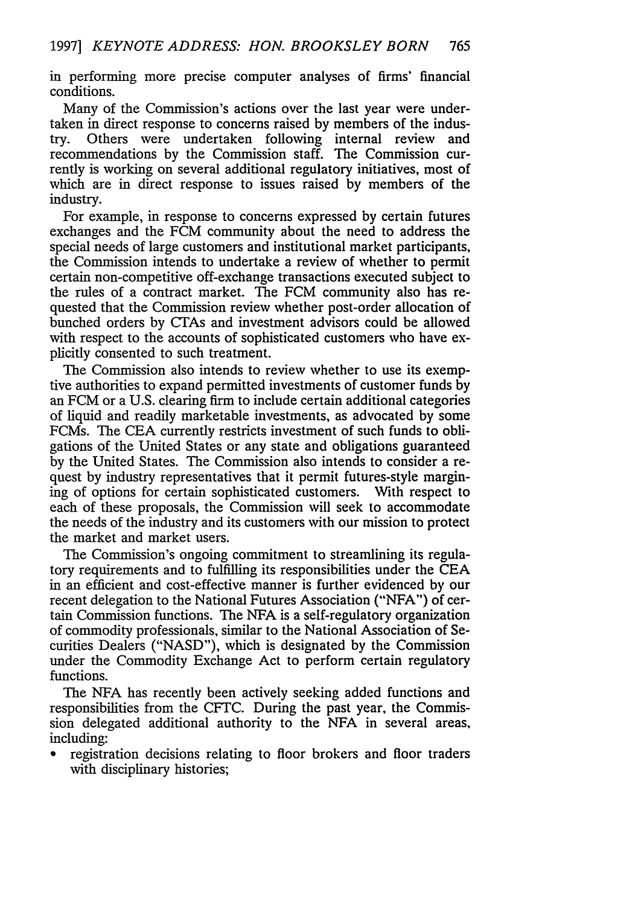in performing more precise computer analyses of firms' financial conditions.

Many of the Commission's actions over the last year were undertaken in direct response to concerns raised by members of the industry. Others were undertaken following internal review and recommendations by the Commission staff. The Commission currently is working on several additional regulatory initiatives, most of which are in direct response to issues raised by members of the industry.

For example, in response to concerns expressed by certain futures exchanges and the FCM community about the need to address the special needs of large customers and institutional market participants, the Commission intends to undertake a review of whether to permit certain non-competitive off-exchange transactions executed subject to the rules of a contract market. The FCM community also has requested that the Commission review whether post-order allocation of bunched orders by CTAs and investment advisors could be allowed with respect to the accounts of sophisticated customers who have explicitly consented to such treatment.

The Commission also intends to review whether to use its exemptive authorities to expand permitted investments of customer funds by an FCM or a U.S. clearing firm to include certain additional categories of liquid and readily marketable investments, as advocated by some FCMs. The CEA currently restricts investment of such funds to obligations of the United States or any state and obligations guaranteed by the United States. The Commission also intends to consider a request by industry representatives that it permit futures-style margining of options for certain sophisticated customers. With respect to each of these proposals, the Commission will seek to accommodate the needs of the industry and its customers with our mission to protect the market and market users.

The Commission's ongoing commitment to streamlining its regulatory requirements and to fulfilling its responsibilities under the CEA in an efficient and cost-effective manner is further evidenced by our recent delegation to the National Futures Association ("NFA") of certain Commission functions. The NFA is a self-regulatory organization of commodity professionals, similar to the National Association of Securities Dealers ("NASD"), which is designated by the Commission under the Commodity Exchange Act to perform certain regulatory functions.

The NFA has recently been actively seeking added functions and responsibilities from the CFTC. During the past year, the Commission delegated additional authority to the NFA in several areas, including:

registration decisions relating to floor brokers and floor traders with disciplinary histories;